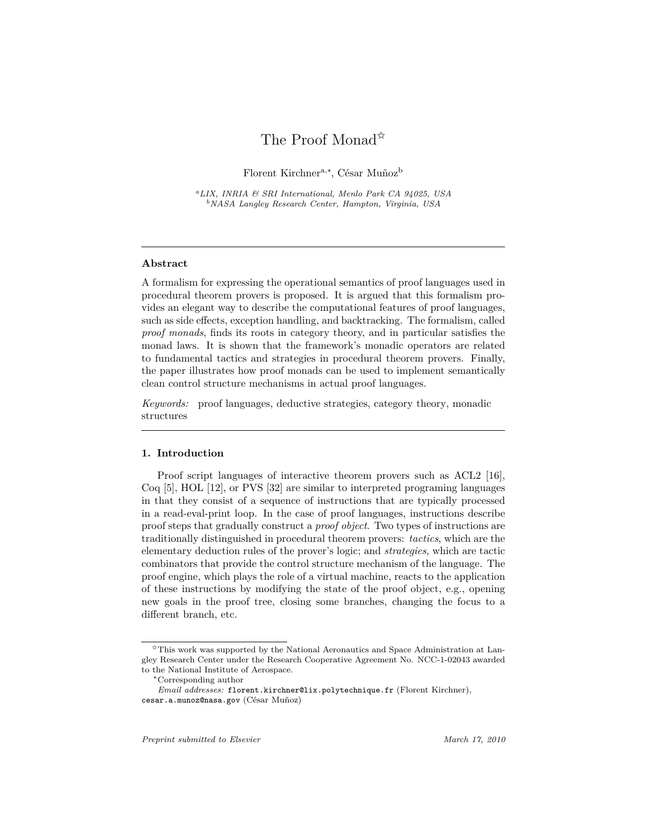# The Proof Monad<sup>☆</sup>

Florent Kirchnera,<sup>∗</sup> , César Muñoz<sup>b</sup>

*<sup>a</sup>LIX, INRIA & SRI International, Menlo Park CA 94025, USA <sup>b</sup>NASA Langley Research Center, Hampton, Virginia, USA*

# **Abstract**

A formalism for expressing the operational semantics of proof languages used in procedural theorem provers is proposed. It is argued that this formalism provides an elegant way to describe the computational features of proof languages, such as side effects, exception handling, and backtracking. The formalism, called *proof monads*, finds its roots in category theory, and in particular satisfies the monad laws. It is shown that the framework's monadic operators are related to fundamental tactics and strategies in procedural theorem provers. Finally, the paper illustrates how proof monads can be used to implement semantically clean control structure mechanisms in actual proof languages.

*Keywords:* proof languages, deductive strategies, category theory, monadic structures

## **1. Introduction**

Proof script languages of interactive theorem provers such as ACL2 [16], Coq [5], HOL [12], or PVS [32] are similar to interpreted programing languages in that they consist of a sequence of instructions that are typically processed in a read-eval-print loop. In the case of proof languages, instructions describe proof steps that gradually construct a *proof object*. Two types of instructions are traditionally distinguished in procedural theorem provers: *tactics*, which are the elementary deduction rules of the prover's logic; and *strategies*, which are tactic combinators that provide the control structure mechanism of the language. The proof engine, which plays the role of a virtual machine, reacts to the application of these instructions by modifying the state of the proof object, e.g., opening new goals in the proof tree, closing some branches, changing the focus to a different branch, etc.

 $\overline{X}$ This work was supported by the National Aeronautics and Space Administration at Langley Research Center under the Research Cooperative Agreement No. NCC-1-02043 awarded to the National Institute of Aerospace.

<sup>∗</sup>Corresponding author

*Email addresses:* florent.kirchner@lix.polytechnique.fr (Florent Kirchner), cesar.a.munoz@nasa.gov (César Muñoz)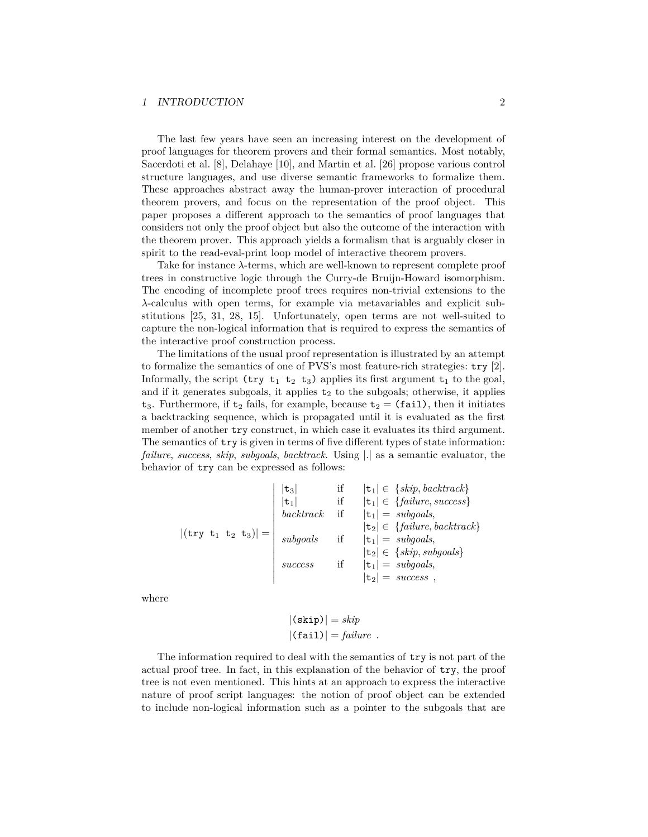## 1 INTRODUCTION 2

The last few years have seen an increasing interest on the development of proof languages for theorem provers and their formal semantics. Most notably, Sacerdoti et al. [8], Delahaye [10], and Martin et al. [26] propose various control structure languages, and use diverse semantic frameworks to formalize them. These approaches abstract away the human-prover interaction of procedural theorem provers, and focus on the representation of the proof object. This paper proposes a different approach to the semantics of proof languages that considers not only the proof object but also the outcome of the interaction with the theorem prover. This approach yields a formalism that is arguably closer in spirit to the read-eval-print loop model of interactive theorem provers.

Take for instance *λ*-terms, which are well-known to represent complete proof trees in constructive logic through the Curry-de Bruijn-Howard isomorphism. The encoding of incomplete proof trees requires non-trivial extensions to the *λ*-calculus with open terms, for example via metavariables and explicit substitutions [25, 31, 28, 15]. Unfortunately, open terms are not well-suited to capture the non-logical information that is required to express the semantics of the interactive proof construction process.

The limitations of the usual proof representation is illustrated by an attempt to formalize the semantics of one of PVS's most feature-rich strategies: try [2]. Informally, the script ( $try t_1 t_2 t_3$ ) applies its first argument  $t_1$  to the goal, and if it generates subgoals, it applies  $t_2$  to the subgoals; otherwise, it applies  $t_3$ . Furthermore, if  $t_2$  fails, for example, because  $t_2 = (fail)$ , then it initiates a backtracking sequence, which is propagated until it is evaluated as the first member of another try construct, in which case it evaluates its third argument. The semantics of try is given in terms of five different types of state information: *failure*, *success*, *skip*, *subgoals*, *backtrack*. Using |*.*| as a semantic evaluator, the behavior of try can be expressed as follows:

and the

$$
|(\texttt{try } t_1 \ t_2 \ t_3)| = \left| \begin{array}{cc} |t_3| & \text{if} & |t_1| \in \ \{skip, \} \text{skip}, \text{backtrack} \\\ |t_1| & \text{if} & |t_1| \in \ \{ \text{failure}, \text{success} \} \\ \text{backtrack} & \text{if} & |t_1| = \text{subgoals}, \\ \text{subgoals} & |t_2| \in \ \{ \text{failure}, \text{backtrack} \} \\ \text{subgoals} & |t_1| = \text{subgoals}, \\ |t_2| \in \ \{ \text{skip}, \text{subgoals} \} \\ |t_1| = \text{subgoals}, \\ |t_2| = \text{subgoals}, \\ |t_2| = \text{success} \end{array} \right.
$$

where

$$
|(\text{skip})| = skip
$$
  

$$
|(\text{fail})| = failure
$$
.

The information required to deal with the semantics of try is not part of the actual proof tree. In fact, in this explanation of the behavior of try, the proof tree is not even mentioned. This hints at an approach to express the interactive nature of proof script languages: the notion of proof object can be extended to include non-logical information such as a pointer to the subgoals that are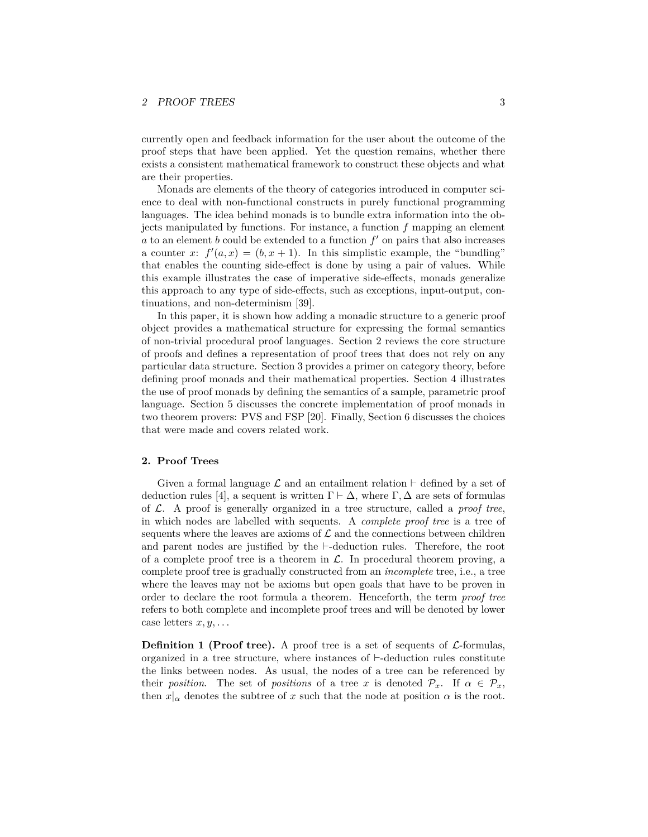## 2 PROOF TREES 3

currently open and feedback information for the user about the outcome of the proof steps that have been applied. Yet the question remains, whether there exists a consistent mathematical framework to construct these objects and what are their properties.

Monads are elements of the theory of categories introduced in computer science to deal with non-functional constructs in purely functional programming languages. The idea behind monads is to bundle extra information into the objects manipulated by functions. For instance, a function *f* mapping an element  $a$  to an element  $b$  could be extended to a function  $f'$  on pairs that also increases a counter *x*:  $f'(a, x) = (b, x + 1)$ . In this simplistic example, the "bundling" that enables the counting side-effect is done by using a pair of values. While this example illustrates the case of imperative side-effects, monads generalize this approach to any type of side-effects, such as exceptions, input-output, continuations, and non-determinism [39].

In this paper, it is shown how adding a monadic structure to a generic proof object provides a mathematical structure for expressing the formal semantics of non-trivial procedural proof languages. Section 2 reviews the core structure of proofs and defines a representation of proof trees that does not rely on any particular data structure. Section 3 provides a primer on category theory, before defining proof monads and their mathematical properties. Section 4 illustrates the use of proof monads by defining the semantics of a sample, parametric proof language. Section 5 discusses the concrete implementation of proof monads in two theorem provers: PVS and FSP [20]. Finally, Section 6 discusses the choices that were made and covers related work.

# **2. Proof Trees**

Given a formal language  $\mathcal L$  and an entailment relation  $\vdash$  defined by a set of deduction rules [4], a sequent is written  $\Gamma \vdash \Delta$ , where  $\Gamma, \Delta$  are sets of formulas of L. A proof is generally organized in a tree structure, called a *proof tree*, in which nodes are labelled with sequents. A *complete proof tree* is a tree of sequents where the leaves are axioms of  $\mathcal L$  and the connections between children and parent nodes are justified by the  $\vdash$ -deduction rules. Therefore, the root of a complete proof tree is a theorem in  $\mathcal{L}$ . In procedural theorem proving, a complete proof tree is gradually constructed from an *incomplete* tree, i.e., a tree where the leaves may not be axioms but open goals that have to be proven in order to declare the root formula a theorem. Henceforth, the term *proof tree* refers to both complete and incomplete proof trees and will be denoted by lower case letters *x, y, . . .*

**Definition 1 (Proof tree).** A proof tree is a set of sequents of  $\mathcal{L}$ -formulas, organized in a tree structure, where instances of  $\vdash$ -deduction rules constitute the links between nodes. As usual, the nodes of a tree can be referenced by their *position*. The set of *positions* of a tree *x* is denoted  $\mathcal{P}_x$ . If  $\alpha \in \mathcal{P}_x$ , then  $x|_{\alpha}$  denotes the subtree of x such that the node at position  $\alpha$  is the root.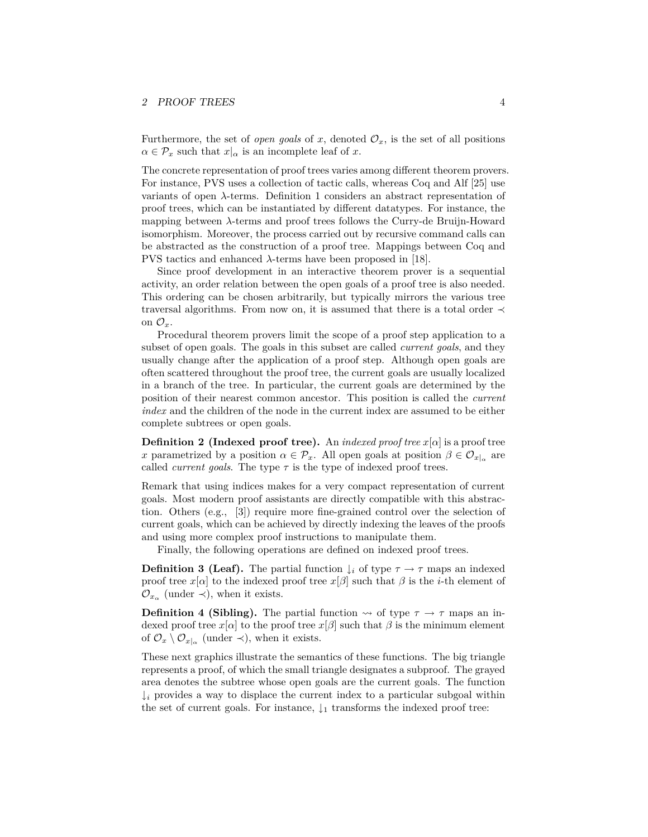## 2 PROOF TREES 4

Furthermore, the set of *open goals* of *x*, denoted  $\mathcal{O}_x$ , is the set of all positions  $\alpha \in \mathcal{P}_x$  such that  $x|_{\alpha}$  is an incomplete leaf of *x*.

The concrete representation of proof trees varies among different theorem provers. For instance, PVS uses a collection of tactic calls, whereas Coq and Alf [25] use variants of open *λ*-terms. Definition 1 considers an abstract representation of proof trees, which can be instantiated by different datatypes. For instance, the mapping between  $\lambda$ -terms and proof trees follows the Curry-de Bruijn-Howard isomorphism. Moreover, the process carried out by recursive command calls can be abstracted as the construction of a proof tree. Mappings between Coq and PVS tactics and enhanced *λ*-terms have been proposed in [18].

Since proof development in an interactive theorem prover is a sequential activity, an order relation between the open goals of a proof tree is also needed. This ordering can be chosen arbitrarily, but typically mirrors the various tree traversal algorithms. From now on, it is assumed that there is a total order ≺ on  $\mathcal{O}_x$ .

Procedural theorem provers limit the scope of a proof step application to a subset of open goals. The goals in this subset are called *current goals*, and they usually change after the application of a proof step. Although open goals are often scattered throughout the proof tree, the current goals are usually localized in a branch of the tree. In particular, the current goals are determined by the position of their nearest common ancestor. This position is called the *current index* and the children of the node in the current index are assumed to be either complete subtrees or open goals.

**Definition 2 (Indexed proof tree).** An *indexed proof tree*  $x[\alpha]$  is a proof tree *x* parametrized by a position  $\alpha \in \mathcal{P}_x$ . All open goals at position  $\beta \in \mathcal{O}_{x|_{\alpha}}$  are called *current goals*. The type  $\tau$  is the type of indexed proof trees.

Remark that using indices makes for a very compact representation of current goals. Most modern proof assistants are directly compatible with this abstraction. Others (e.g., [3]) require more fine-grained control over the selection of current goals, which can be achieved by directly indexing the leaves of the proofs and using more complex proof instructions to manipulate them.

Finally, the following operations are defined on indexed proof trees.

**Definition 3 (Leaf).** The partial function  $\downarrow_i$  of type  $\tau \to \tau$  maps an indexed proof tree  $x[\alpha]$  to the indexed proof tree  $x[\beta]$  such that  $\beta$  is the *i*-th element of  $\mathcal{O}_{x_{\alpha}}$  (under  $\prec$ ), when it exists.

**Definition 4 (Sibling).** The partial function  $\rightsquigarrow$  of type  $\tau \rightarrow \tau$  maps an indexed proof tree  $x[\alpha]$  to the proof tree  $x[\beta]$  such that  $\beta$  is the minimum element of  $\mathcal{O}_x \setminus \mathcal{O}_{x|_{\alpha}}$  (under  $\prec$ ), when it exists.

These next graphics illustrate the semantics of these functions. The big triangle represents a proof, of which the small triangle designates a subproof. The grayed area denotes the subtree whose open goals are the current goals. The function  $\downarrow$  is provides a way to displace the current index to a particular subgoal within the set of current goals. For instance,  $\downarrow$ <sub>1</sub> transforms the indexed proof tree: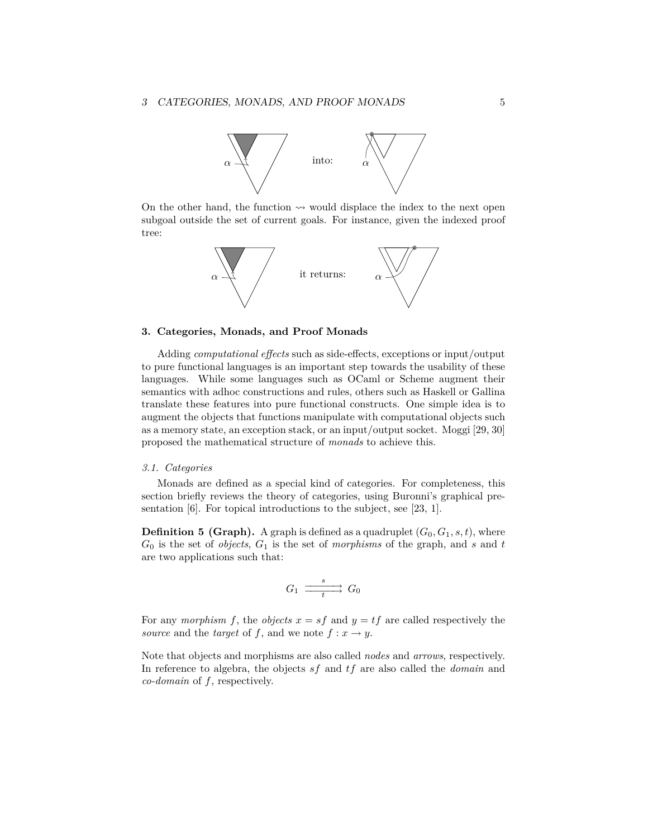

On the other hand, the function  $\sim$  would displace the index to the next open subgoal outside the set of current goals. For instance, given the indexed proof tree:



#### **3. Categories, Monads, and Proof Monads**

Adding *computational effects* such as side-effects, exceptions or input/output to pure functional languages is an important step towards the usability of these languages. While some languages such as OCaml or Scheme augment their semantics with adhoc constructions and rules, others such as Haskell or Gallina translate these features into pure functional constructs. One simple idea is to augment the objects that functions manipulate with computational objects such as a memory state, an exception stack, or an input/output socket. Moggi [29, 30] proposed the mathematical structure of *monads* to achieve this.

#### *3.1. Categories*

Monads are defined as a special kind of categories. For completeness, this section briefly reviews the theory of categories, using Buronni's graphical presentation [6]. For topical introductions to the subject, see [23, 1].

**Definition 5 (Graph).** A graph is defined as a quadruplet  $(G_0, G_1, s, t)$ , where *G*<sup>0</sup> is the set of *objects*, *G*<sup>1</sup> is the set of *morphisms* of the graph, and *s* and *t* are two applications such that:

$$
G_1 \xrightarrow[t]{s} G_0
$$

For any *morphism* f, the *objects*  $x = sf$  and  $y = tf$  are called respectively the *source* and the *target* of *f*, and we note  $f: x \rightarrow y$ .

Note that objects and morphisms are also called *nodes* and *arrows*, respectively. In reference to algebra, the objects *sf* and *tf* are also called the *domain* and *co-domain* of *f*, respectively.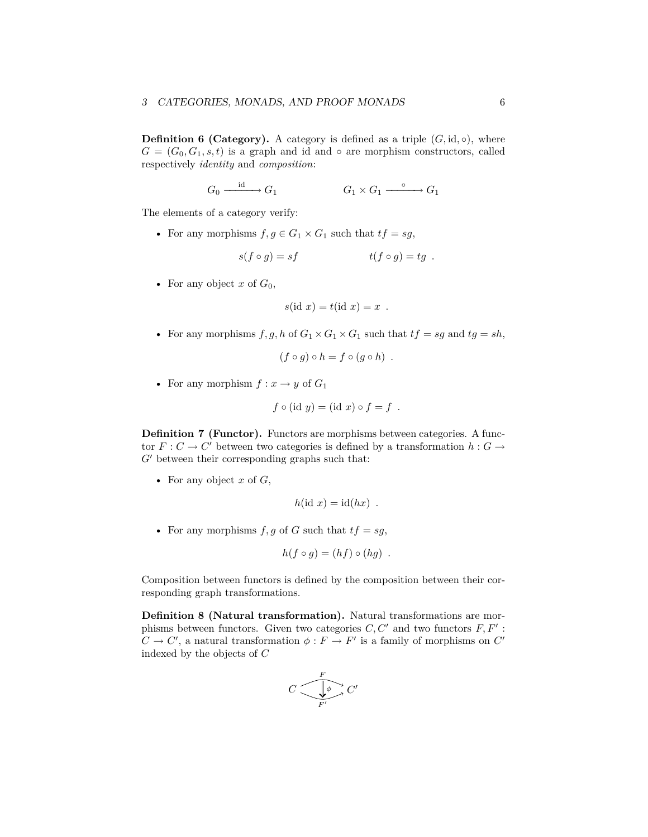**Definition 6 (Category).** A category is defined as a triple  $(G, id, \circ)$ , where  $G = (G_0, G_1, s, t)$  is a graph and id and  $\circ$  are morphism constructors, called respectively *identity* and *composition*:

$$
G_0 \xrightarrow{\text{id}} G_1 \qquad \qquad G_1 \times G_1 \xrightarrow{\circ} G_1
$$

The elements of a category verify:

• For any morphisms  $f, g \in G_1 \times G_1$  such that  $tf = sg$ ,

$$
s(f \circ g) = sf \qquad \qquad t(f \circ g) = tg \ .
$$

• For any object  $x$  of  $G_0$ ,

$$
s(\mathrm{id} \ x) = t(\mathrm{id} \ x) = x \ .
$$

• For any morphisms  $f, g, h$  of  $G_1 \times G_1 \times G_1$  such that  $tf = sg$  and  $tg = sh$ ,

$$
(f \circ g) \circ h = f \circ (g \circ h) .
$$

• For any morphism  $f: x \to y$  of  $G_1$ 

$$
f \circ (\mathrm{id} \ y) = (\mathrm{id} \ x) \circ f = f \ .
$$

**Definition 7 (Functor).** Functors are morphisms between categories. A functor  $F: C \to C'$  between two categories is defined by a transformation  $h: G \to C'$  $G'$  between their corresponding graphs such that:

• For any object  $x$  of  $G$ ,

$$
h(\mathrm{id} x) = \mathrm{id}(hx) .
$$

• For any morphisms  $f, g$  of  $G$  such that  $tf = sg$ ,

$$
h(f \circ g) = (hf) \circ (hg) .
$$

Composition between functors is defined by the composition between their corresponding graph transformations.

**Definition 8 (Natural transformation).** Natural transformations are morphisms between functors. Given two categories  $C, C'$  and two functors  $F, F'$ :  $C \to C'$ , a natural transformation  $\phi : F \to F'$  is a family of morphisms on  $C'$ indexed by the objects of *C*

$$
C\stackrel{F}{\underset{F'}{\bigcirc \quad }}C'
$$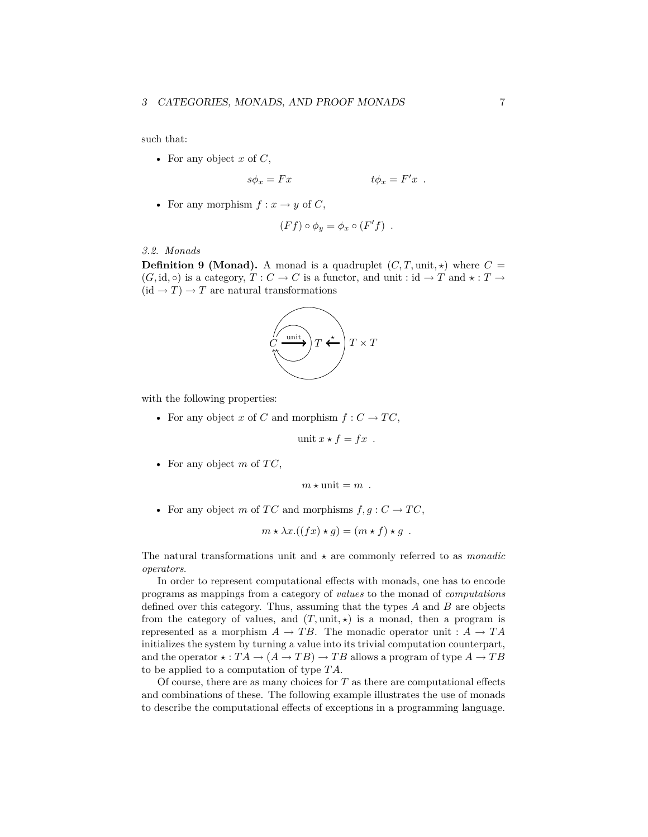such that:

• For any object  $x$  of  $C$ ,

$$
s\phi_x = Fx \qquad \qquad t\phi_x = F'x \ .
$$

• For any morphism  $f: x \to y$  of C,

$$
(Ff) \circ \phi_y = \phi_x \circ (F'f) \ .
$$

*3.2. Monads*

**Definition 9 (Monad).** A monad is a quadruplet  $(C, T, \text{unit}, \star)$  where  $C =$  $(G, id, \circ)$  is a category,  $T : C \to C$  is a functor, and unit : id  $T \to T$  and  $\star : T \to T$  $(id \rightarrow T) \rightarrow T$  are natural transformations



with the following properties:

• For any object *x* of *C* and morphism  $f: C \to TC$ ,

unit 
$$
x \star f = fx
$$
.

• For any object  $m$  of  $TC$ ,

$$
m \star \text{unit} = m .
$$

• For any object *m* of *TC* and morphisms  $f, g: C \to TC$ ,

$$
m \star \lambda x. ((fx) \star g) = (m \star f) \star g.
$$

The natural transformations unit and  $\star$  are commonly referred to as *monadic operators*.

In order to represent computational effects with monads, one has to encode programs as mappings from a category of *values* to the monad of *computations* defined over this category. Thus, assuming that the types *A* and *B* are objects from the category of values, and  $(T, \text{unit}, \star)$  is a monad, then a program is represented as a morphism  $A \to TB$ . The monadic operator unit :  $A \to TA$ initializes the system by turning a value into its trivial computation counterpart, and the operator  $\star : TA \to (A \to TB) \to TB$  allows a program of type  $A \to TB$ to be applied to a computation of type *T A*.

Of course, there are as many choices for *T* as there are computational effects and combinations of these. The following example illustrates the use of monads to describe the computational effects of exceptions in a programming language.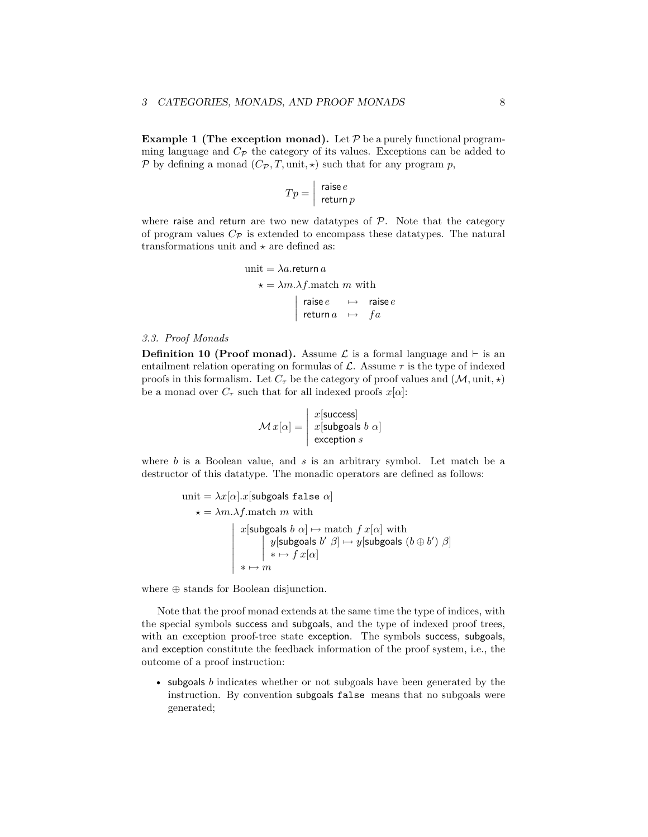**Example 1 (The exception monad).** Let  $P$  be a purely functional programming language and  $C_{\mathcal{P}}$  the category of its values. Exceptions can be added to P by defining a monad  $(C_{\mathcal{P}}, T, \text{unit}, \star)$  such that for any program p,

$$
Tp = \left| \begin{array}{c} \text{raise } e \\ \text{return } p \end{array} \right.
$$

where raise and return are two new datatypes of  $P$ . Note that the category of program values  $C_{\mathcal{P}}$  is extended to encompass these datatypes. The natural transformations unit and  $\star$  are defined as:

$$
\text{unit} = \lambda a.\text{return } a
$$
\n
$$
\star = \lambda m.\lambda f.\text{match } m \text{ with}
$$
\n
$$
\text{raise } e \longrightarrow \text{raise } e
$$
\n
$$
\text{return } a \rightarrow f a
$$

## *3.3. Proof Monads*

**Definition 10 (Proof monad).** Assume  $\mathcal{L}$  is a formal language and  $\vdash$  is an entailment relation operating on formulas of  $\mathcal{L}$ . Assume  $\tau$  is the type of indexed proofs in this formalism. Let  $C_{\tau}$  be the category of proof values and  $(\mathcal{M}, \text{unit}, \star)$ be a monad over  $C_{\tau}$  such that for all indexed proofs  $x[\alpha]$ :

$$
\mathcal{M} x[\alpha] = \begin{vmatrix} x[\text{success}] \\ x[\text{subgoals } b \alpha] \\ \text{exception } s \end{vmatrix}
$$

where *b* is a Boolean value, and *s* is an arbitrary symbol. Let match be a destructor of this datatype. The monadic operators are defined as follows:

$$
\begin{aligned}\n\text{unit} &= \lambda x[\alpha].x[\text{subgoals false } \alpha] \\
&\star = \lambda m.\lambda f.\text{match } m \text{ with} \\
&\quad x[\text{subgoals } b \alpha] \mapsto \text{match } f \, x[\alpha] \text{ with} \\
&\quad y[\text{subgoals } b' \ \beta] \mapsto y[\text{subgoals } (b \oplus b') \ \beta] \\
&\quad \star \mapsto f \, x[\alpha] \\
&\quad \star \mapsto m\n\end{aligned}
$$

where ⊕ stands for Boolean disjunction.

Note that the proof monad extends at the same time the type of indices, with the special symbols success and subgoals, and the type of indexed proof trees, with an exception proof-tree state exception. The symbols success, subgoals, and exception constitute the feedback information of the proof system, i.e., the outcome of a proof instruction:

• subgoals *b* indicates whether or not subgoals have been generated by the instruction. By convention subgoals false means that no subgoals were generated;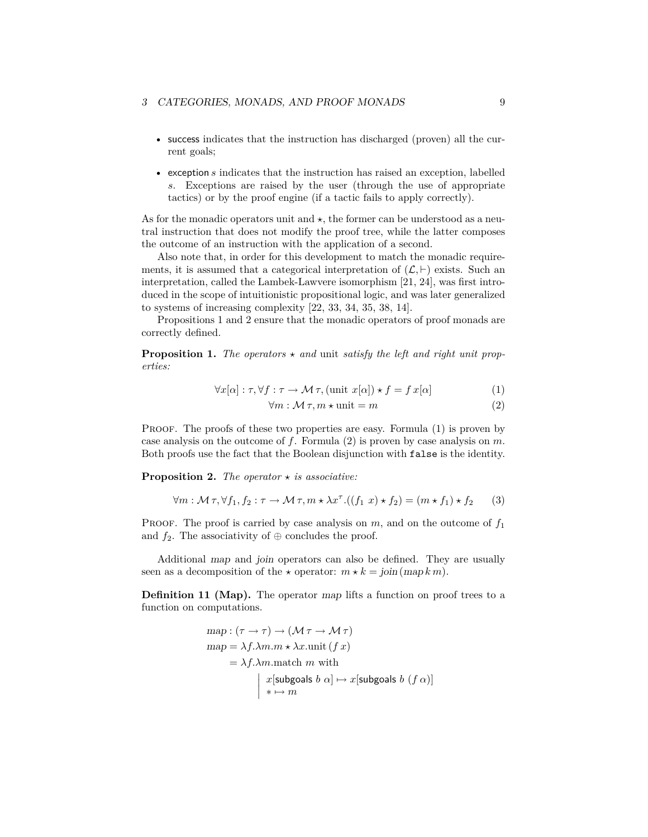- success indicates that the instruction has discharged (proven) all the current goals;
- exception *s* indicates that the instruction has raised an exception, labelled *s*. Exceptions are raised by the user (through the use of appropriate tactics) or by the proof engine (if a tactic fails to apply correctly).

As for the monadic operators unit and  $\star$ , the former can be understood as a neutral instruction that does not modify the proof tree, while the latter composes the outcome of an instruction with the application of a second.

Also note that, in order for this development to match the monadic requirements, it is assumed that a categorical interpretation of  $(\mathcal{L}, \vdash)$  exists. Such an interpretation, called the Lambek-Lawvere isomorphism [21, 24], was first introduced in the scope of intuitionistic propositional logic, and was later generalized to systems of increasing complexity [22, 33, 34, 35, 38, 14].

Propositions 1 and 2 ensure that the monadic operators of proof monads are correctly defined.

**Proposition 1.** The operators  $\star$  and unit *satisfy the left and right unit properties:*

$$
\forall x[\alpha] : \tau, \forall f : \tau \to \mathcal{M} \tau, (\text{unit } x[\alpha]) \star f = f x[\alpha]
$$
 (1)

$$
\forall m : \mathcal{M} \,\tau, m \star \text{unit} = m \tag{2}
$$

PROOF. The proofs of these two properties are easy. Formula  $(1)$  is proven by case analysis on the outcome of *f*. Formula (2) is proven by case analysis on *m*. Both proofs use the fact that the Boolean disjunction with false is the identity.

**Proposition 2.** *The operator*  $\star$  *is associative:* 

$$
\forall m: \mathcal{M} \tau, \forall f_1, f_2: \tau \to \mathcal{M} \tau, m \star \lambda x^{\tau}.((f_1 \ x) \star f_2) = (m \star f_1) \star f_2 \tag{3}
$$

**PROOF.** The proof is carried by case analysis on  $m$ , and on the outcome of  $f_1$ and  $f_2$ . The associativity of  $\oplus$  concludes the proof.

Additional map and join operators can also be defined. They are usually seen as a decomposition of the  $\star$  operator:  $m \star k = \text{join}(\text{map } k \text{ } m)$ .

**Definition 11 (Map).** The operator map lifts a function on proof trees to a function on computations.

$$
\begin{aligned}\n\text{map}: (\tau \to \tau) &\to (\mathcal{M}\,\tau \to \mathcal{M}\,\tau) \\
\text{map} &= \lambda f.\lambda m.m \star \lambda x.\text{unit} \,(f\,x) \\
&= \lambda f.\lambda m.\text{match } m \text{ with} \\
&\quad x[\text{subgoals } b \,\,\alpha] \mapsto x[\text{subgoals } b \,\,(f\,\alpha)] \\
&\quad * \mapsto m\n\end{aligned}
$$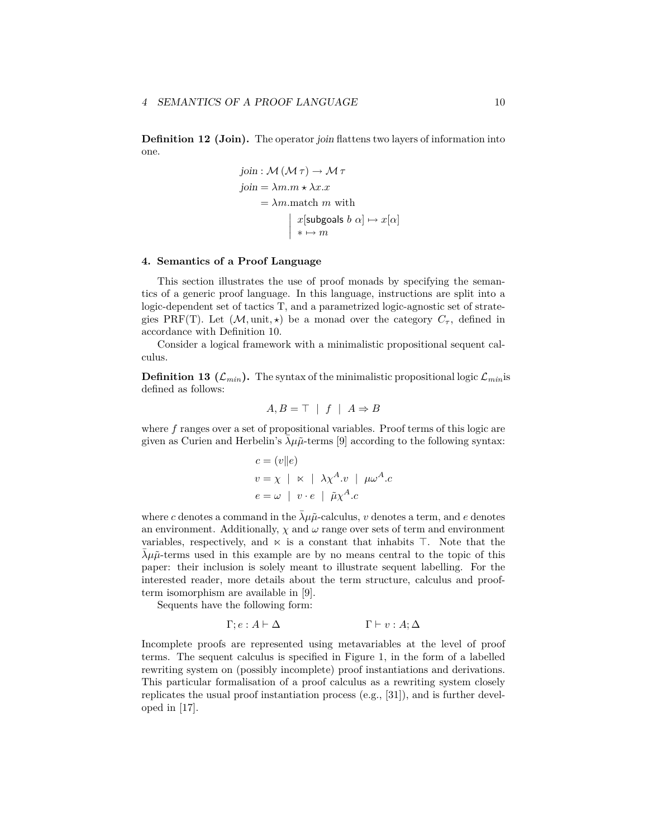**Definition 12 (Join).** The operator join flattens two layers of information into one.

$$
\begin{aligned}\n\text{join}: \mathcal{M}(\mathcal{M}\tau) &\to \mathcal{M}\tau \\
\text{join} &= \lambda m.m \star \lambda x.x \\
&= \lambda m.\text{match } m \text{ with} \\
x[\text{subgoals } b \alpha] &\mapsto x[\alpha] \\
&* \mapsto m\n\end{aligned}
$$

## **4. Semantics of a Proof Language**

This section illustrates the use of proof monads by specifying the semantics of a generic proof language. In this language, instructions are split into a logic-dependent set of tactics T, and a parametrized logic-agnostic set of strategies PRF(T). Let  $(M, \text{unit}, \star)$  be a monad over the category  $C_{\tau}$ , defined in accordance with Definition 10.

Consider a logical framework with a minimalistic propositional sequent calculus.

**Definition 13**  $(\mathcal{L}_{min})$ . The syntax of the minimalistic propositional logic  $\mathcal{L}_{min}$  is defined as follows:

$$
A, B = \top | f | A \Rightarrow B
$$

where f ranges over a set of propositional variables. Proof terms of this logic are given as Curien and Herbelin's  $\bar{\lambda}\mu\tilde{\mu}$ -terms [9] according to the following syntax:

$$
c = (v||e)
$$
  
\n
$$
v = \chi \mid \kappa \mid \lambda \chi^{A}.v \mid \mu \omega^{A}.c
$$
  
\n
$$
e = \omega \mid v \cdot e \mid \tilde{\mu} \chi^{A}.c
$$

where *c* denotes a command in the  $\bar{\lambda}\mu\tilde{\mu}$ -calculus, *v* denotes a term, and *e* denotes an environment. Additionally,  $\chi$  and  $\omega$  range over sets of term and environment variables, respectively, and  $\ltimes$  is a constant that inhabits  $\top$ . Note that the  $\lambda \mu \tilde{\mu}$ -terms used in this example are by no means central to the topic of this paper: their inclusion is solely meant to illustrate sequent labelling. For the interested reader, more details about the term structure, calculus and proofterm isomorphism are available in [9].

Sequents have the following form:

$$
\Gamma; e: A \vdash \Delta \qquad \qquad \Gamma \vdash v: A; \Delta
$$

Incomplete proofs are represented using metavariables at the level of proof terms. The sequent calculus is specified in Figure 1, in the form of a labelled rewriting system on (possibly incomplete) proof instantiations and derivations. This particular formalisation of a proof calculus as a rewriting system closely replicates the usual proof instantiation process (e.g., [31]), and is further developed in [17].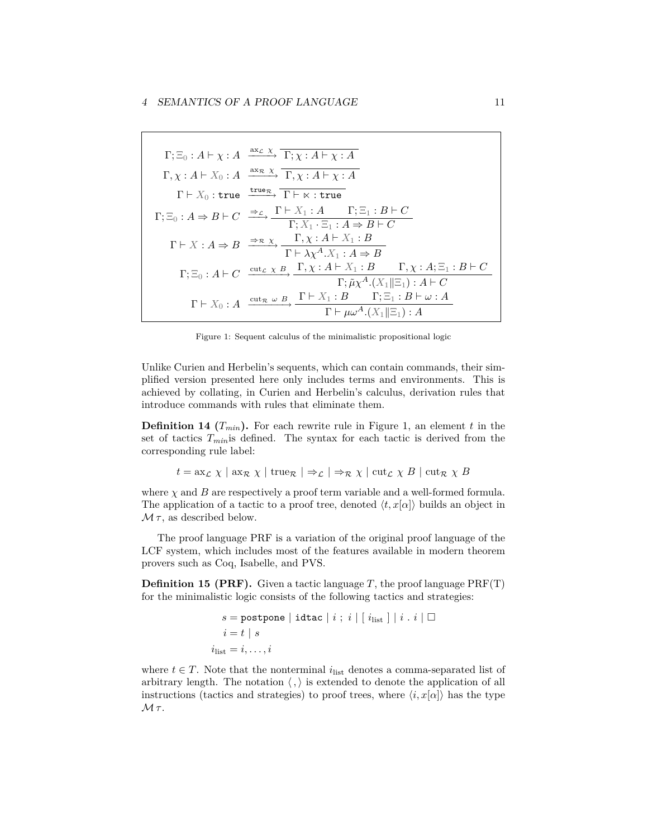$$
\Gamma; \Xi_0: A \vdash \chi: A \xrightarrow{\text{ax}_{\mathcal{L}} \chi} \overline{\Gamma; \chi: A \vdash \chi: A}
$$
\n
$$
\Gamma, \chi: A \vdash X_0: A \xrightarrow{\text{ax}_{\mathcal{R}} \chi} \overline{\Gamma, \chi: A \vdash \chi: A}
$$
\n
$$
\Gamma \vdash X_0: \text{true} \xrightarrow{\text{true}_{\mathcal{R}}} \overline{\Gamma \vdash \kappa: \text{true}}
$$
\n
$$
\Gamma; \Xi_0: A \Rightarrow B \vdash C \xrightarrow{\Rightarrow_{\mathcal{L}} \Gamma \vdash X_1: A} \Gamma; \Xi_1: B \vdash C
$$
\n
$$
\Gamma \vdash X: A \Rightarrow B \xrightarrow{\Rightarrow_{\mathcal{R}} \chi} \overline{\Gamma; X_1 \cdot \Xi_1: A \Rightarrow B \vdash C}
$$
\n
$$
\Gamma \vdash X: A \Rightarrow B \xrightarrow{\Rightarrow_{\mathcal{R}} \chi} \overline{\Gamma, \chi: A \vdash X_1: B}
$$
\n
$$
\Gamma; \Xi_0: A \vdash C \xrightarrow{\text{cut}_{\mathcal{L}} \chi \cdot B} \overline{\Gamma, \chi: A \vdash X_1: B} \Gamma, \chi: A; \Xi_1: B \vdash C
$$
\n
$$
\Gamma \vdash X_0: A \xrightarrow{\text{cut}_{\mathcal{R}} \omega \cdot B} \overline{\Gamma \vdash X_1: B} \Gamma; \Xi_1: B \vdash \omega: A
$$
\n
$$
\Gamma \vdash \mu \omega^A.(X_1|\Xi_1): A
$$

Figure 1: Sequent calculus of the minimalistic propositional logic

Unlike Curien and Herbelin's sequents, which can contain commands, their simplified version presented here only includes terms and environments. This is achieved by collating, in Curien and Herbelin's calculus, derivation rules that introduce commands with rules that eliminate them.

**Definition 14**  $(T_{min})$ . For each rewrite rule in Figure 1, an element *t* in the set of tactics  $T_{min}$  is defined. The syntax for each tactic is derived from the corresponding rule label:

$$
t = \text{ax}_{\mathcal{L}} \chi \mid \text{ax}_{\mathcal{R}} \chi \mid \text{true}_{\mathcal{R}} \mid \Rightarrow_{\mathcal{L}} \Rightarrow_{\mathcal{R}} \chi \mid \text{cut}_{\mathcal{L}} \chi B \mid \text{cut}_{\mathcal{R}} \chi B
$$

where  $\chi$  and  $B$  are respectively a proof term variable and a well-formed formula. The application of a tactic to a proof tree, denoted  $\langle t, x[\alpha] \rangle$  builds an object in  $M\tau$ , as described below.

The proof language PRF is a variation of the original proof language of the LCF system, which includes most of the features available in modern theorem provers such as Coq, Isabelle, and PVS.

**Definition 15 (PRF).** Given a tactic language  $T$ , the proof language  $PRF(T)$ for the minimalistic logic consists of the following tactics and strategies:

$$
s = \text{postcone} \mid \text{idtac} \mid i ; i \mid [i_{\text{list}}] \mid i : i \mid \Box
$$
  

$$
i = t \mid s
$$
  

$$
i_{\text{list}} = i, \dots, i
$$

where  $t \in T$ . Note that the nonterminal  $i_{\text{list}}$  denotes a comma-separated list of arbitrary length. The notation  $\langle , \rangle$  is extended to denote the application of all instructions (tactics and strategies) to proof trees, where  $\langle i, x[\alpha] \rangle$  has the type M*τ* .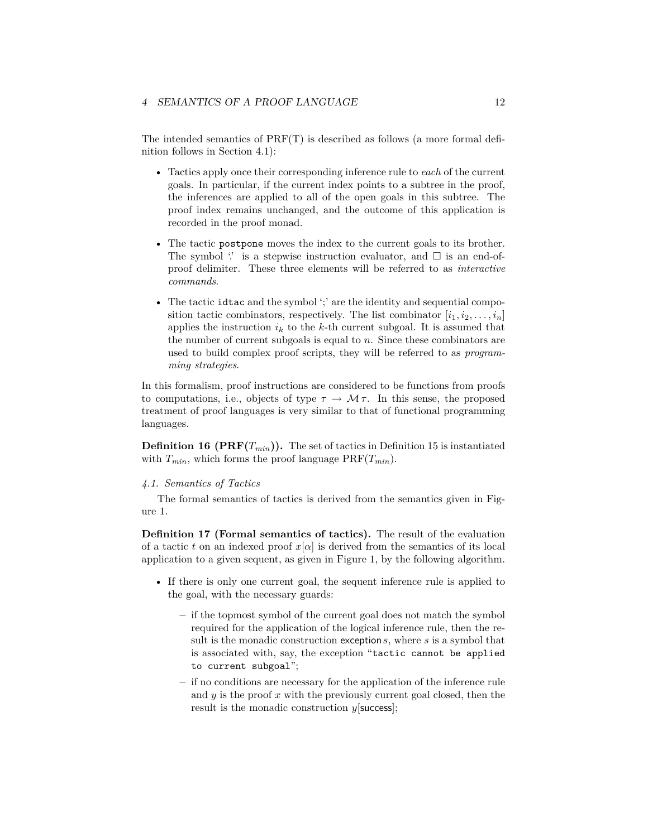The intended semantics of PRF(T) is described as follows (a more formal definition follows in Section 4.1):

- Tactics apply once their corresponding inference rule to *each* of the current goals. In particular, if the current index points to a subtree in the proof, the inferences are applied to all of the open goals in this subtree. The proof index remains unchanged, and the outcome of this application is recorded in the proof monad.
- The tactic postpone moves the index to the current goals to its brother. The symbol  $\cdot$  is a stepwise instruction evaluator, and  $\Box$  is an end-ofproof delimiter. These three elements will be referred to as *interactive commands*.
- The tactic idtac and the symbol ';' are the identity and sequential composition tactic combinators, respectively. The list combinator  $[i_1, i_2, \ldots, i_n]$ applies the instruction  $i_k$  to the *k*-th current subgoal. It is assumed that the number of current subgoals is equal to *n*. Since these combinators are used to build complex proof scripts, they will be referred to as *programming strategies*.

In this formalism, proof instructions are considered to be functions from proofs to computations, i.e., objects of type  $\tau \to \mathcal{M}\tau$ . In this sense, the proposed treatment of proof languages is very similar to that of functional programming languages.

**Definition 16 (** $\text{PRF}(T_{min})$ **).** The set of tactics in Definition 15 is instantiated with  $T_{min}$ , which forms the proof language  $PRF(T_{min})$ .

# *4.1. Semantics of Tactics*

The formal semantics of tactics is derived from the semantics given in Figure 1.

**Definition 17 (Formal semantics of tactics).** The result of the evaluation of a tactic *t* on an indexed proof  $x[\alpha]$  is derived from the semantics of its local application to a given sequent, as given in Figure 1, by the following algorithm.

- If there is only one current goal, the sequent inference rule is applied to the goal, with the necessary guards:
	- **–** if the topmost symbol of the current goal does not match the symbol required for the application of the logical inference rule, then the result is the monadic construction exception*s*, where *s* is a symbol that is associated with, say, the exception "tactic cannot be applied to current subgoal";
	- **–** if no conditions are necessary for the application of the inference rule and *y* is the proof *x* with the previously current goal closed, then the result is the monadic construction *y*[success];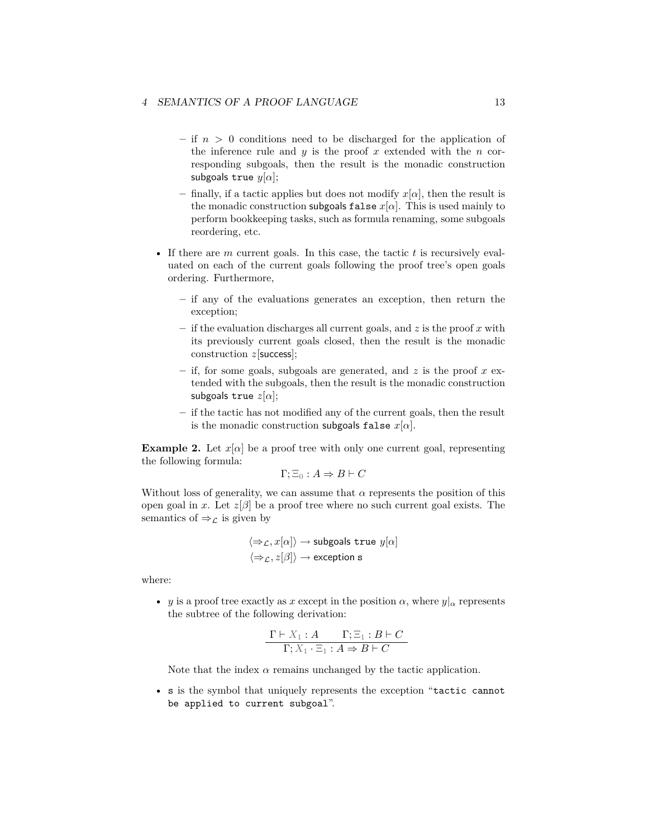- **–** if *n >* 0 conditions need to be discharged for the application of the inference rule and  $y$  is the proof  $x$  extended with the  $n$  corresponding subgoals, then the result is the monadic construction subgoals true *y*[*α*];
- **–** finally, if a tactic applies but does not modify *x*[*α*], then the result is the monadic construction subgoals false  $x[\alpha]$ . This is used mainly to perform bookkeeping tasks, such as formula renaming, some subgoals reordering, etc.
- If there are *m* current goals. In this case, the tactic *t* is recursively evaluated on each of the current goals following the proof tree's open goals ordering. Furthermore,
	- **–** if any of the evaluations generates an exception, then return the exception;
	- **–** if the evaluation discharges all current goals, and *z* is the proof *x* with its previously current goals closed, then the result is the monadic construction *z*[success];
	- **–** if, for some goals, subgoals are generated, and *z* is the proof *x* extended with the subgoals, then the result is the monadic construction subgoals true *z*[*α*];
	- **–** if the tactic has not modified any of the current goals, then the result is the monadic construction subgoals false  $x[\alpha]$ .

**Example 2.** Let  $x[\alpha]$  be a proof tree with only one current goal, representing the following formula:

$$
\Gamma;\Xi_0:A\Rightarrow B\vdash C
$$

Without loss of generality, we can assume that  $\alpha$  represents the position of this open goal in *x*. Let  $z[\beta]$  be a proof tree where no such current goal exists. The semantics of  $\Rightarrow$  c is given by

$$
\langle \Rightarrow_{\mathcal{L}}, x[\alpha] \rangle \rightarrow \text{subgoals true } y[\alpha]
$$

$$
\langle \Rightarrow_{\mathcal{L}}, z[\beta] \rangle \rightarrow \text{exception s}
$$

where:

• *y* is a proof tree exactly as *x* except in the position  $\alpha$ , where  $y|_{\alpha}$  represents the subtree of the following derivation:

$$
\frac{\Gamma \vdash X_1 : A \qquad \Gamma; \Xi_1 : B \vdash C}{\Gamma; X_1 \cdot \Xi_1 : A \Rightarrow B \vdash C}
$$

Note that the index  $\alpha$  remains unchanged by the tactic application.

• s is the symbol that uniquely represents the exception "tactic cannot be applied to current subgoal".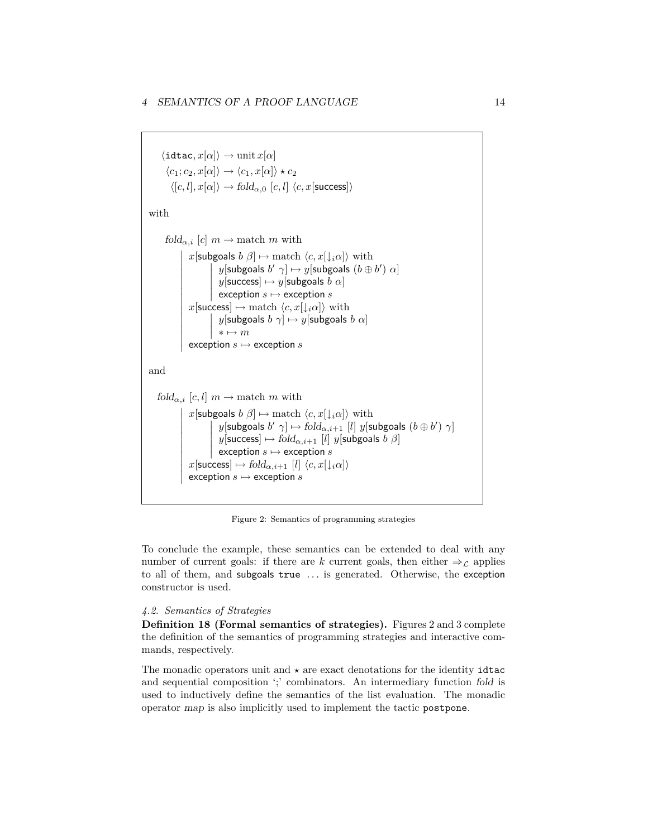```
\langleidtac, x[\alpha] \rangle \rightarrowunit x[\alpha]\langle c_1; c_2, x[\alpha] \rangle \rightarrow \langle c_1, x[\alpha] \rangle \star c_2\langle [c, l], x[\alpha] \rangle \rightarrow fold_{\alpha, 0} [c, l] \langle c, x[\text{success}] \ranglewith
           fold_{\alpha,i} [c] m \rightarrow match m with
                      \overline{\phantom{a}}\overline{\phantom{a}}\overline{\phantom{a}}\overline{\phantom{a}}\overline{\phantom{a}}\overline{\phantom{a}}I
                      I
                      I
                      I
                      \overline{\phantom{a}}\overline{\phantom{a}}\overline{\phantom{a}}\overline{\phantom{a}}\overline{\phantom{a}}\overline{\phantom{a}}x[subgoals b \beta] \mapsto match \langle c, x[\downarrow_i \alpha] \rangle with
                                          \overline{\phantom{a}}\overline{\phantom{a}}\overline{\phantom{a}}\overline{\phantom{a}}I
                            x[success] \mapsto match \langle c, x[{\downarrow_i} \alpha] \rangle with
                                                y[subgoals b' \gamma] \mapsto y[subgoals (b \oplus b') \alpha]
                                               y[success] \mapsto y[subgoals b α]
                                              exception s 7→ exception s
                                          \overline{\phantom{a}}\overline{\phantom{a}}\overline{\phantom{a}}\vert \begin{array}{c} * \mapsto m \ \text{exception } s \mapsto \text{exception } s \end{array}y[subgoals b \gamma] \mapsto y[subgoals b \alpha]
                                               ∗ 7→ m
and
      fold_{\alpha,i} [c, l] m \rightarrow \text{match} m with
                      \overline{\phantom{a}}\overline{\phantom{a}}\overline{\phantom{a}}\overline{\phantom{a}}\overline{\phantom{a}}\overline{\phantom{a}}\overline{\phantom{a}}\overline{\phantom{a}}\overline{\phantom{a}}\overline{\phantom{a}}\overline{\phantom{a}}\overline{\phantom{a}}x[subgoals b \beta] \mapsto match \langle c, x[\downarrow_i \alpha] \rangle with
                                          \overline{\phantom{a}}\overline{\phantom{a}}\overline{\phantom{a}}\overline{\phantom{a}}\overline{\phantom{a}}x[success] \mapsto fold<sub>\alpha, i+1</sub> [l] \langle c, x[\downarrow_i \alpha] \rangley[subgoals b' \gamma] \mapsto fold_{\alpha,i+1} [l] y[subgoals (b \oplus b') \gamma]
                                               y[success] \mapsto fold\alpha,i+1 [l] y[subgoals b β]
                                              \overrightarrow{exception} s \mapsto exception \overrightarrow{s}exception s 7→ exception s
```
Figure 2: Semantics of programming strategies

To conclude the example, these semantics can be extended to deal with any number of current goals: if there are *k* current goals, then either  $\Rightarrow$  c applies to all of them, and subgoals true *. . .* is generated. Otherwise, the exception constructor is used.

## *4.2. Semantics of Strategies*

**Definition 18 (Formal semantics of strategies).** Figures 2 and 3 complete the definition of the semantics of programming strategies and interactive commands, respectively.

The monadic operators unit and  $\star$  are exact denotations for the identity **idtac** and sequential composition ';' combinators. An intermediary function fold is used to inductively define the semantics of the list evaluation. The monadic operator map is also implicitly used to implement the tactic postpone.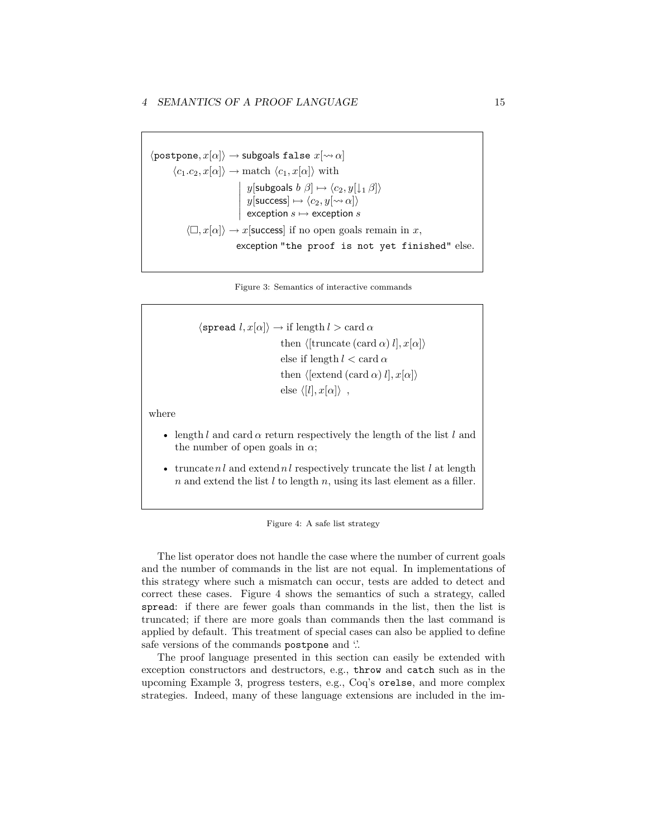$\langle$  postpone,  $x[\alpha] \rangle \rightarrow$  subgoals false  $x[\rightsquigarrow \alpha]$  $\langle c_1.c_2, x[\alpha] \rangle \rightarrow$  match  $\langle c_1, x[\alpha] \rangle$  with  $y[$ subgoals  $b \beta] \mapsto \langle c_2, y[1\!\downarrow_1 \beta] \rangle$  $y[$ success $]\mapsto \langle c_2, y[\leadsto\alpha]\rangle$ exception *s* 7→ exception *s*  $\langle \Box, x[\alpha] \rangle \rightarrow x$  success if no open goals remain in *x*, exception "the proof is not yet finished" else.



 $\langle$ spread *l*,  $x[\alpha] \rangle \rightarrow$  if length *l* > card  $\alpha$ then  $\langle$ [truncate (card *α*) *l*],  $x[\alpha]$ } else if length *l <* card *α* then  $\langle$ [extend  $(\text{card } \alpha) l$ ]*, x*[ $\alpha$ ] $\rangle$ else  $\langle [l], x[\alpha] \rangle$ ,

where

- length *l* and card *α* return respectively the length of the list *l* and the number of open goals in  $\alpha$ ;
- truncate*nl* and extend*nl* respectively truncate the list *l* at length *n* and extend the list *l* to length *n*, using its last element as a filler.

#### Figure 4: A safe list strategy

The list operator does not handle the case where the number of current goals and the number of commands in the list are not equal. In implementations of this strategy where such a mismatch can occur, tests are added to detect and correct these cases. Figure 4 shows the semantics of such a strategy, called spread: if there are fewer goals than commands in the list, then the list is truncated; if there are more goals than commands then the last command is applied by default. This treatment of special cases can also be applied to define safe versions of the commands postpone and '.'.

The proof language presented in this section can easily be extended with exception constructors and destructors, e.g., throw and catch such as in the upcoming Example 3, progress testers, e.g., Coq's orelse, and more complex strategies. Indeed, many of these language extensions are included in the im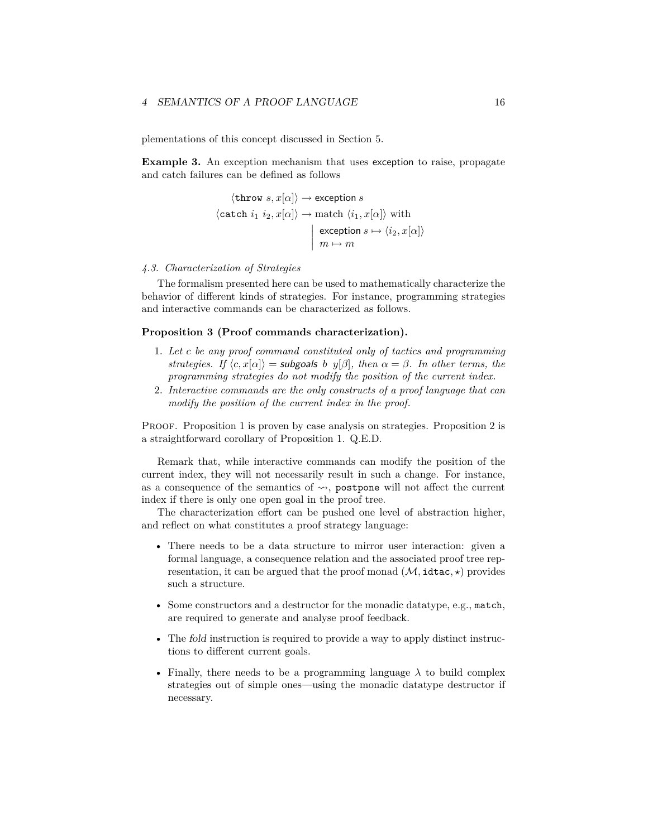plementations of this concept discussed in Section 5.

**Example 3.** An exception mechanism that uses exception to raise, propagate and catch failures can be defined as follows

$$
\langle \text{throw } s, x[\alpha] \rangle \to \text{exception } s
$$

$$
\langle \text{catch } i_1 i_2, x[\alpha] \rangle \to \text{match } \langle i_1, x[\alpha] \rangle \text{ with}
$$

$$
\downarrow \text{exception } s \mapsto \langle i_2, x[\alpha] \rangle
$$

$$
\downarrow m \mapsto m
$$

## *4.3. Characterization of Strategies*

The formalism presented here can be used to mathematically characterize the behavior of different kinds of strategies. For instance, programming strategies and interactive commands can be characterized as follows.

## **Proposition 3 (Proof commands characterization).**

- 1. *Let c be any proof command constituted only of tactics and programming strategies.* If  $\langle c, x | \alpha \rangle$  = subgoals *b*  $y | \beta$ , then  $\alpha = \beta$ . In other terms, the *programming strategies do not modify the position of the current index.*
- 2. *Interactive commands are the only constructs of a proof language that can modify the position of the current index in the proof.*

Proof. Proposition 1 is proven by case analysis on strategies. Proposition 2 is a straightforward corollary of Proposition 1. Q.E.D.

Remark that, while interactive commands can modify the position of the current index, they will not necessarily result in such a change. For instance, as a consequence of the semantics of  $\rightsquigarrow$ , postpone will not affect the current index if there is only one open goal in the proof tree.

The characterization effort can be pushed one level of abstraction higher, and reflect on what constitutes a proof strategy language:

- There needs to be a data structure to mirror user interaction: given a formal language, a consequence relation and the associated proof tree representation, it can be argued that the proof monad  $(M, \text{idtac}, \star)$  provides such a structure.
- Some constructors and a destructor for the monadic datatype, e.g., match, are required to generate and analyse proof feedback.
- The fold instruction is required to provide a way to apply distinct instructions to different current goals.
- Finally, there needs to be a programming language  $\lambda$  to build complex strategies out of simple ones—using the monadic datatype destructor if necessary.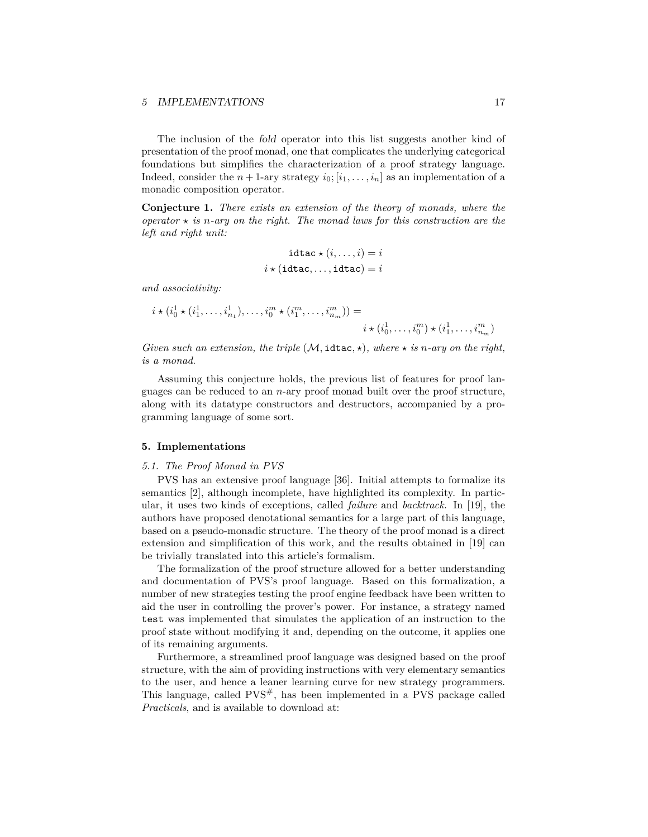#### 5 IMPLEMENTATIONS 17

The inclusion of the fold operator into this list suggests another kind of presentation of the proof monad, one that complicates the underlying categorical foundations but simplifies the characterization of a proof strategy language. Indeed, consider the  $n+1$ -ary strategy  $i_0$ ;  $[i_1, \ldots, i_n]$  as an implementation of a monadic composition operator.

**Conjecture 1.** *There exists an extension of the theory of monads, where the operator*  $\star$  *is n*-*ary on the right. The monad laws for this construction are the left and right unit:*

$$
\mathtt{idtac} \star (i, \dots, i) = i
$$

$$
i \star (\mathtt{idtac}, \dots, \mathtt{idtac}) = i
$$

*and associativity:*

$$
i \star (i_0^1 \star (i_1^1, \ldots, i_{n_1}^1), \ldots, i_0^m \star (i_1^m, \ldots, i_{n_m}^m)) =
$$
  

$$
i \star (i_0^1, \ldots, i_0^m) \star (i_1^1, \ldots, i_{n_m}^m)
$$

*Given such an extension, the triple*  $(M, \text{idtac}, *)$ *, where*  $*$  *is n*-*ary on the right, is a monad.*

Assuming this conjecture holds, the previous list of features for proof languages can be reduced to an *n*-ary proof monad built over the proof structure, along with its datatype constructors and destructors, accompanied by a programming language of some sort.

## **5. Implementations**

#### *5.1. The Proof Monad in PVS*

PVS has an extensive proof language [36]. Initial attempts to formalize its semantics [2], although incomplete, have highlighted its complexity. In particular, it uses two kinds of exceptions, called *failure* and *backtrack*. In [19], the authors have proposed denotational semantics for a large part of this language, based on a pseudo-monadic structure. The theory of the proof monad is a direct extension and simplification of this work, and the results obtained in [19] can be trivially translated into this article's formalism.

The formalization of the proof structure allowed for a better understanding and documentation of PVS's proof language. Based on this formalization, a number of new strategies testing the proof engine feedback have been written to aid the user in controlling the prover's power. For instance, a strategy named test was implemented that simulates the application of an instruction to the proof state without modifying it and, depending on the outcome, it applies one of its remaining arguments.

Furthermore, a streamlined proof language was designed based on the proof structure, with the aim of providing instructions with very elementary semantics to the user, and hence a leaner learning curve for new strategy programmers. This language, called  $PVS^{\#}$ , has been implemented in a PVS package called *Practicals*, and is available to download at: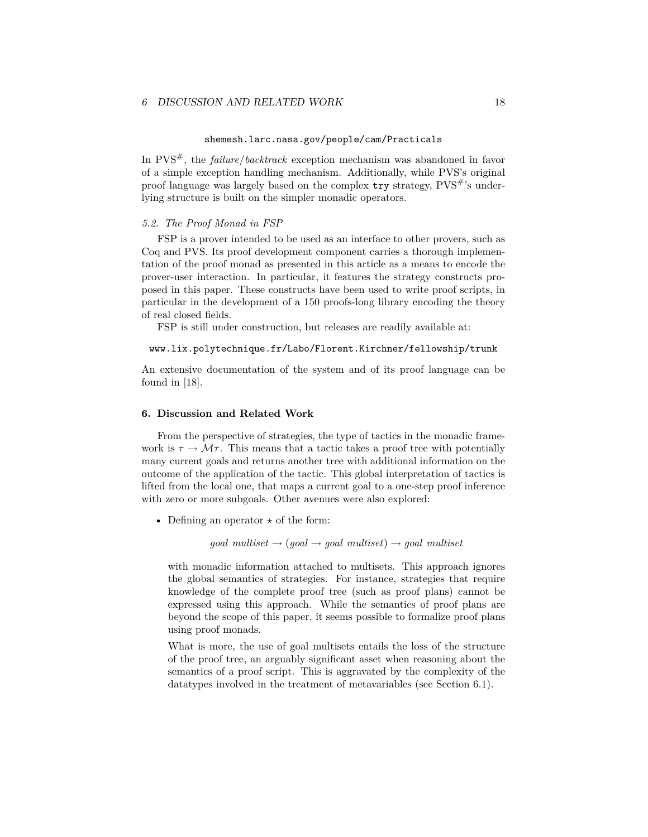## 6 DISCUSSION AND RELATED WORK 18

## shemesh.larc.nasa.gov/people/cam/Practicals

In PVS#, the *failure*/*backtrack* exception mechanism was abandoned in favor of a simple exception handling mechanism. Additionally, while PVS's original proof language was largely based on the complex  $\text{try strategy}, \text{PVS}^{\#}$ 's underlying structure is built on the simpler monadic operators.

### *5.2. The Proof Monad in FSP*

FSP is a prover intended to be used as an interface to other provers, such as Coq and PVS. Its proof development component carries a thorough implementation of the proof monad as presented in this article as a means to encode the prover-user interaction. In particular, it features the strategy constructs proposed in this paper. These constructs have been used to write proof scripts, in particular in the development of a 150 proofs-long library encoding the theory of real closed fields.

FSP is still under construction, but releases are readily available at:

# www.lix.polytechnique.fr/Labo/Florent.Kirchner/fellowship/trunk

An extensive documentation of the system and of its proof language can be found in [18].

## **6. Discussion and Related Work**

From the perspective of strategies, the type of tactics in the monadic framework is  $\tau \to \mathcal{M}\tau$ . This means that a tactic takes a proof tree with potentially many current goals and returns another tree with additional information on the outcome of the application of the tactic. This global interpretation of tactics is lifted from the local one, that maps a current goal to a one-step proof inference with zero or more subgoals. Other avenues were also explored:

• Defining an operator  $\star$  of the form:

 $qoal multiset \rightarrow (qoal \rightarrow qoal multiset) \rightarrow qoal multiset$ 

with monadic information attached to multisets. This approach ignores the global semantics of strategies. For instance, strategies that require knowledge of the complete proof tree (such as proof plans) cannot be expressed using this approach. While the semantics of proof plans are beyond the scope of this paper, it seems possible to formalize proof plans using proof monads.

What is more, the use of goal multisets entails the loss of the structure of the proof tree, an arguably significant asset when reasoning about the semantics of a proof script. This is aggravated by the complexity of the datatypes involved in the treatment of metavariables (see Section 6.1).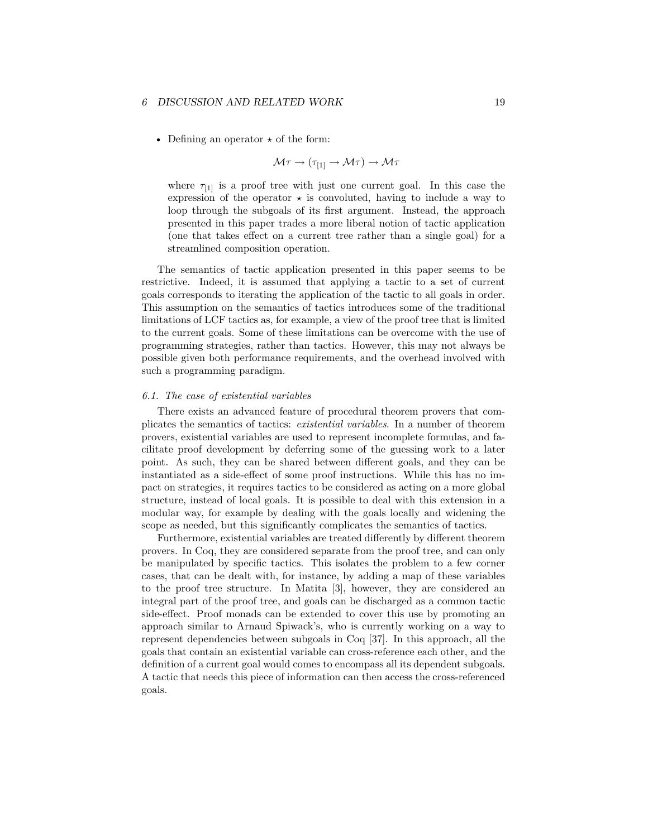## 6 DISCUSSION AND RELATED WORK 19

• Defining an operator  $\star$  of the form:

$$
\mathcal{M}\tau \to (\tau_{[1]} \to \mathcal{M}\tau) \to \mathcal{M}\tau
$$

where  $\tau_{11}$  is a proof tree with just one current goal. In this case the expression of the operator  $\star$  is convoluted, having to include a way to loop through the subgoals of its first argument. Instead, the approach presented in this paper trades a more liberal notion of tactic application (one that takes effect on a current tree rather than a single goal) for a streamlined composition operation.

The semantics of tactic application presented in this paper seems to be restrictive. Indeed, it is assumed that applying a tactic to a set of current goals corresponds to iterating the application of the tactic to all goals in order. This assumption on the semantics of tactics introduces some of the traditional limitations of LCF tactics as, for example, a view of the proof tree that is limited to the current goals. Some of these limitations can be overcome with the use of programming strategies, rather than tactics. However, this may not always be possible given both performance requirements, and the overhead involved with such a programming paradigm.

## *6.1. The case of existential variables*

There exists an advanced feature of procedural theorem provers that complicates the semantics of tactics: *existential variables*. In a number of theorem provers, existential variables are used to represent incomplete formulas, and facilitate proof development by deferring some of the guessing work to a later point. As such, they can be shared between different goals, and they can be instantiated as a side-effect of some proof instructions. While this has no impact on strategies, it requires tactics to be considered as acting on a more global structure, instead of local goals. It is possible to deal with this extension in a modular way, for example by dealing with the goals locally and widening the scope as needed, but this significantly complicates the semantics of tactics.

Furthermore, existential variables are treated differently by different theorem provers. In Coq, they are considered separate from the proof tree, and can only be manipulated by specific tactics. This isolates the problem to a few corner cases, that can be dealt with, for instance, by adding a map of these variables to the proof tree structure. In Matita [3], however, they are considered an integral part of the proof tree, and goals can be discharged as a common tactic side-effect. Proof monads can be extended to cover this use by promoting an approach similar to Arnaud Spiwack's, who is currently working on a way to represent dependencies between subgoals in Coq [37]. In this approach, all the goals that contain an existential variable can cross-reference each other, and the definition of a current goal would comes to encompass all its dependent subgoals. A tactic that needs this piece of information can then access the cross-referenced goals.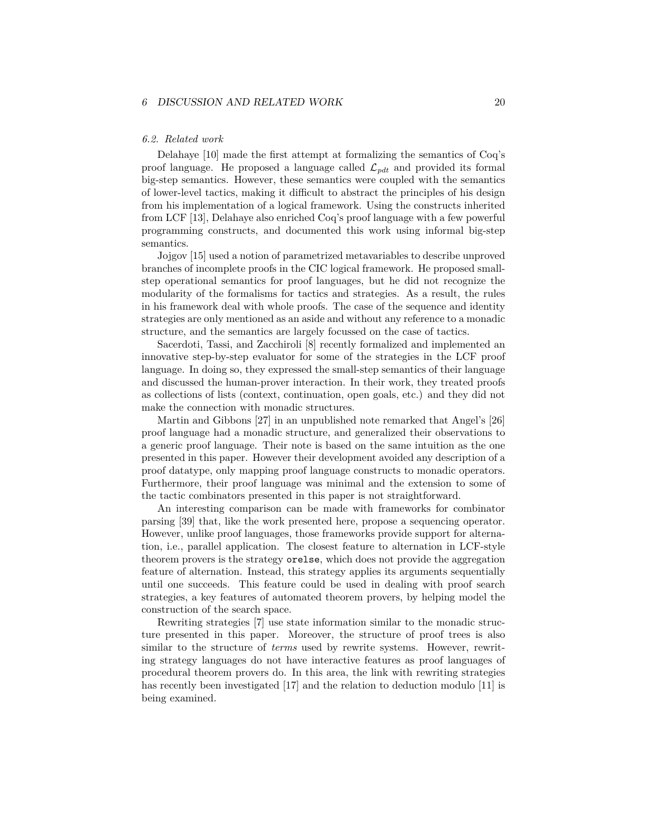## *6.2. Related work*

Delahaye [10] made the first attempt at formalizing the semantics of Coq's proof language. He proposed a language called  $\mathcal{L}_{pdt}$  and provided its formal big-step semantics. However, these semantics were coupled with the semantics of lower-level tactics, making it difficult to abstract the principles of his design from his implementation of a logical framework. Using the constructs inherited from LCF [13], Delahaye also enriched Coq's proof language with a few powerful programming constructs, and documented this work using informal big-step semantics.

Jojgov [15] used a notion of parametrized metavariables to describe unproved branches of incomplete proofs in the CIC logical framework. He proposed smallstep operational semantics for proof languages, but he did not recognize the modularity of the formalisms for tactics and strategies. As a result, the rules in his framework deal with whole proofs. The case of the sequence and identity strategies are only mentioned as an aside and without any reference to a monadic structure, and the semantics are largely focussed on the case of tactics.

Sacerdoti, Tassi, and Zacchiroli [8] recently formalized and implemented an innovative step-by-step evaluator for some of the strategies in the LCF proof language. In doing so, they expressed the small-step semantics of their language and discussed the human-prover interaction. In their work, they treated proofs as collections of lists (context, continuation, open goals, etc.) and they did not make the connection with monadic structures.

Martin and Gibbons [27] in an unpublished note remarked that Angel's [26] proof language had a monadic structure, and generalized their observations to a generic proof language. Their note is based on the same intuition as the one presented in this paper. However their development avoided any description of a proof datatype, only mapping proof language constructs to monadic operators. Furthermore, their proof language was minimal and the extension to some of the tactic combinators presented in this paper is not straightforward.

An interesting comparison can be made with frameworks for combinator parsing [39] that, like the work presented here, propose a sequencing operator. However, unlike proof languages, those frameworks provide support for alternation, i.e., parallel application. The closest feature to alternation in LCF-style theorem provers is the strategy orelse, which does not provide the aggregation feature of alternation. Instead, this strategy applies its arguments sequentially until one succeeds. This feature could be used in dealing with proof search strategies, a key features of automated theorem provers, by helping model the construction of the search space.

Rewriting strategies [7] use state information similar to the monadic structure presented in this paper. Moreover, the structure of proof trees is also similar to the structure of *terms* used by rewrite systems. However, rewriting strategy languages do not have interactive features as proof languages of procedural theorem provers do. In this area, the link with rewriting strategies has recently been investigated [17] and the relation to deduction modulo [11] is being examined.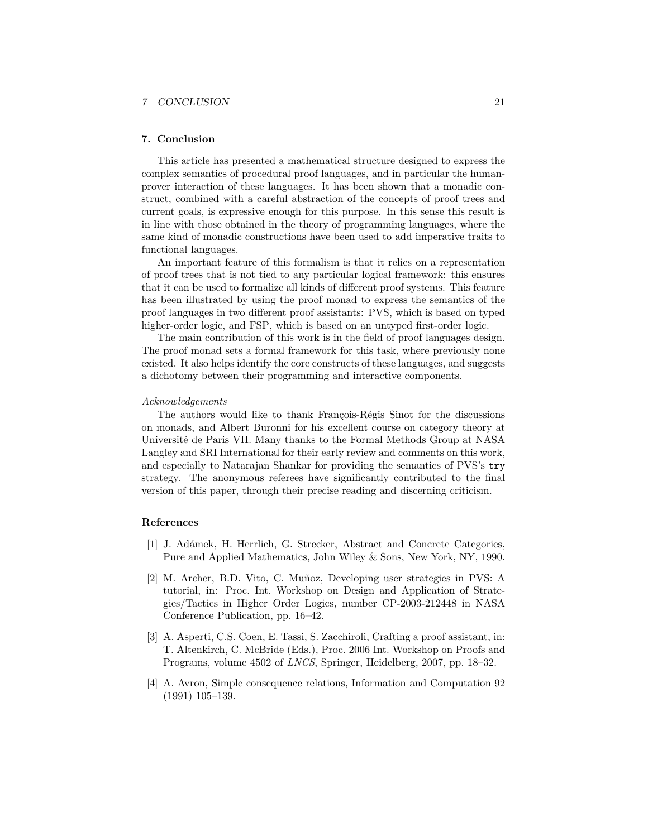## 7 CONCLUSION 21

## **7. Conclusion**

This article has presented a mathematical structure designed to express the complex semantics of procedural proof languages, and in particular the humanprover interaction of these languages. It has been shown that a monadic construct, combined with a careful abstraction of the concepts of proof trees and current goals, is expressive enough for this purpose. In this sense this result is in line with those obtained in the theory of programming languages, where the same kind of monadic constructions have been used to add imperative traits to functional languages.

An important feature of this formalism is that it relies on a representation of proof trees that is not tied to any particular logical framework: this ensures that it can be used to formalize all kinds of different proof systems. This feature has been illustrated by using the proof monad to express the semantics of the proof languages in two different proof assistants: PVS, which is based on typed higher-order logic, and FSP, which is based on an untyped first-order logic.

The main contribution of this work is in the field of proof languages design. The proof monad sets a formal framework for this task, where previously none existed. It also helps identify the core constructs of these languages, and suggests a dichotomy between their programming and interactive components.

#### *Acknowledgements*

The authors would like to thank François-Régis Sinot for the discussions on monads, and Albert Buronni for his excellent course on category theory at Université de Paris VII. Many thanks to the Formal Methods Group at NASA Langley and SRI International for their early review and comments on this work, and especially to Natarajan Shankar for providing the semantics of PVS's try strategy. The anonymous referees have significantly contributed to the final version of this paper, through their precise reading and discerning criticism.

## **References**

- [1] J. Adámek, H. Herrlich, G. Strecker, Abstract and Concrete Categories, Pure and Applied Mathematics, John Wiley & Sons, New York, NY, 1990.
- [2] M. Archer, B.D. Vito, C. Muñoz, Developing user strategies in PVS: A tutorial, in: Proc. Int. Workshop on Design and Application of Strategies/Tactics in Higher Order Logics, number CP-2003-212448 in NASA Conference Publication, pp. 16–42.
- [3] A. Asperti, C.S. Coen, E. Tassi, S. Zacchiroli, Crafting a proof assistant, in: T. Altenkirch, C. McBride (Eds.), Proc. 2006 Int. Workshop on Proofs and Programs, volume 4502 of *LNCS*, Springer, Heidelberg, 2007, pp. 18–32.
- [4] A. Avron, Simple consequence relations, Information and Computation 92 (1991) 105–139.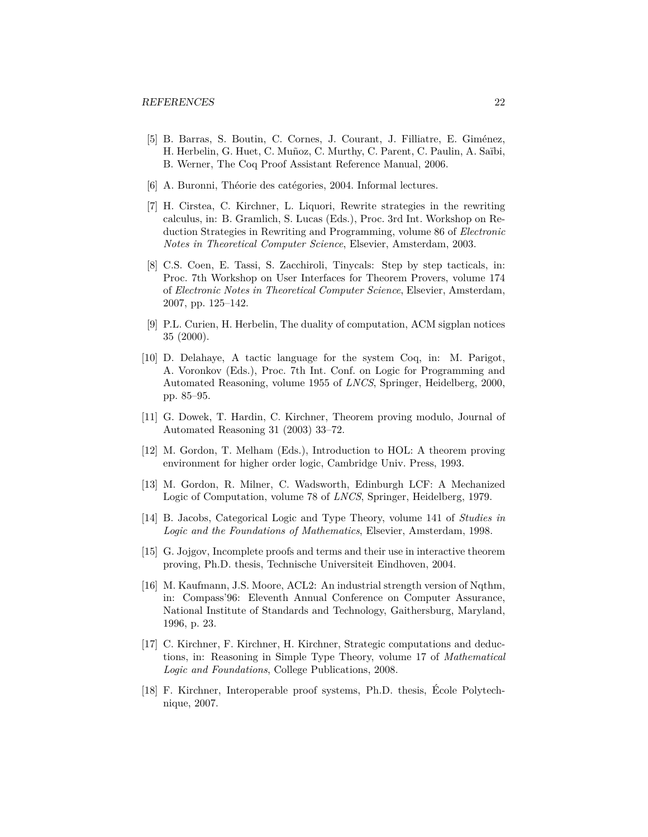- [5] B. Barras, S. Boutin, C. Cornes, J. Courant, J. Filliatre, E. Giménez, H. Herbelin, G. Huet, C. Muñoz, C. Murthy, C. Parent, C. Paulin, A. Saïbi, B. Werner, The Coq Proof Assistant Reference Manual, 2006.
- [6] A. Buronni, Théorie des catégories, 2004. Informal lectures.
- [7] H. Cirstea, C. Kirchner, L. Liquori, Rewrite strategies in the rewriting calculus, in: B. Gramlich, S. Lucas (Eds.), Proc. 3rd Int. Workshop on Reduction Strategies in Rewriting and Programming, volume 86 of *Electronic Notes in Theoretical Computer Science*, Elsevier, Amsterdam, 2003.
- [8] C.S. Coen, E. Tassi, S. Zacchiroli, Tinycals: Step by step tacticals, in: Proc. 7th Workshop on User Interfaces for Theorem Provers, volume 174 of *Electronic Notes in Theoretical Computer Science*, Elsevier, Amsterdam, 2007, pp. 125–142.
- [9] P.L. Curien, H. Herbelin, The duality of computation, ACM sigplan notices 35 (2000).
- [10] D. Delahaye, A tactic language for the system Coq, in: M. Parigot, A. Voronkov (Eds.), Proc. 7th Int. Conf. on Logic for Programming and Automated Reasoning, volume 1955 of *LNCS*, Springer, Heidelberg, 2000, pp. 85–95.
- [11] G. Dowek, T. Hardin, C. Kirchner, Theorem proving modulo, Journal of Automated Reasoning 31 (2003) 33–72.
- [12] M. Gordon, T. Melham (Eds.), Introduction to HOL: A theorem proving environment for higher order logic, Cambridge Univ. Press, 1993.
- [13] M. Gordon, R. Milner, C. Wadsworth, Edinburgh LCF: A Mechanized Logic of Computation, volume 78 of *LNCS*, Springer, Heidelberg, 1979.
- [14] B. Jacobs, Categorical Logic and Type Theory, volume 141 of *Studies in Logic and the Foundations of Mathematics*, Elsevier, Amsterdam, 1998.
- [15] G. Jojgov, Incomplete proofs and terms and their use in interactive theorem proving, Ph.D. thesis, Technische Universiteit Eindhoven, 2004.
- [16] M. Kaufmann, J.S. Moore, ACL2: An industrial strength version of Nqthm, in: Compass'96: Eleventh Annual Conference on Computer Assurance, National Institute of Standards and Technology, Gaithersburg, Maryland, 1996, p. 23.
- [17] C. Kirchner, F. Kirchner, H. Kirchner, Strategic computations and deductions, in: Reasoning in Simple Type Theory, volume 17 of *Mathematical Logic and Foundations*, College Publications, 2008.
- [18] F. Kirchner, Interoperable proof systems, Ph.D. thesis, École Polytechnique, 2007.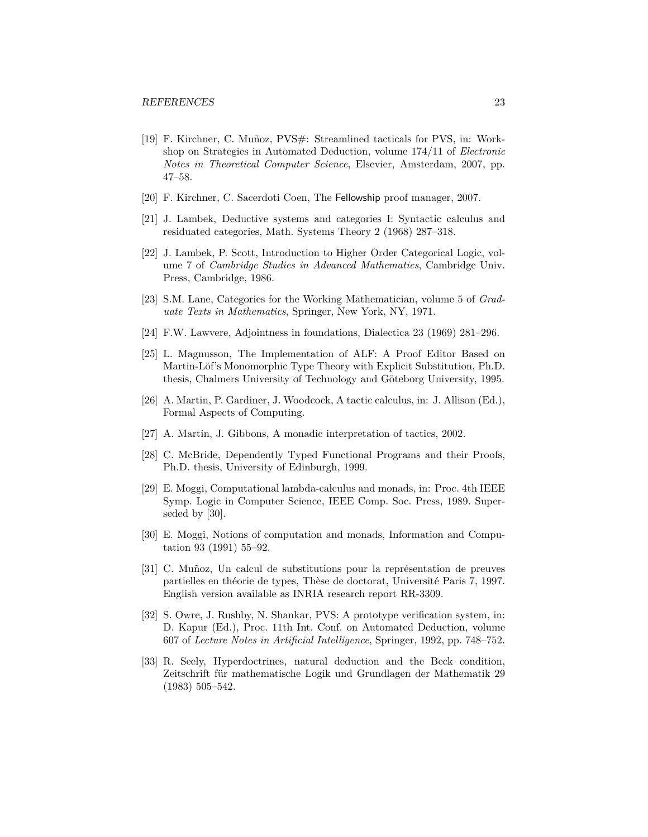- [19] F. Kirchner, C. Muñoz, PVS#: Streamlined tacticals for PVS, in: Workshop on Strategies in Automated Deduction, volume 174/11 of *Electronic Notes in Theoretical Computer Science*, Elsevier, Amsterdam, 2007, pp. 47–58.
- [20] F. Kirchner, C. Sacerdoti Coen, The Fellowship proof manager, 2007.
- [21] J. Lambek, Deductive systems and categories I: Syntactic calculus and residuated categories, Math. Systems Theory 2 (1968) 287–318.
- [22] J. Lambek, P. Scott, Introduction to Higher Order Categorical Logic, volume 7 of *Cambridge Studies in Advanced Mathematics*, Cambridge Univ. Press, Cambridge, 1986.
- [23] S.M. Lane, Categories for the Working Mathematician, volume 5 of *Graduate Texts in Mathematics*, Springer, New York, NY, 1971.
- [24] F.W. Lawvere, Adjointness in foundations, Dialectica 23 (1969) 281–296.
- [25] L. Magnusson, The Implementation of ALF: A Proof Editor Based on Martin-Löf's Monomorphic Type Theory with Explicit Substitution, Ph.D. thesis, Chalmers University of Technology and Göteborg University, 1995.
- [26] A. Martin, P. Gardiner, J. Woodcock, A tactic calculus, in: J. Allison (Ed.), Formal Aspects of Computing.
- [27] A. Martin, J. Gibbons, A monadic interpretation of tactics, 2002.
- [28] C. McBride, Dependently Typed Functional Programs and their Proofs, Ph.D. thesis, University of Edinburgh, 1999.
- [29] E. Moggi, Computational lambda-calculus and monads, in: Proc. 4th IEEE Symp. Logic in Computer Science, IEEE Comp. Soc. Press, 1989. Superseded by [30].
- [30] E. Moggi, Notions of computation and monads, Information and Computation 93 (1991) 55–92.
- [31] C. Muñoz, Un calcul de substitutions pour la représentation de preuves partielles en théorie de types, Thèse de doctorat, Université Paris 7, 1997. English version available as INRIA research report RR-3309.
- [32] S. Owre, J. Rushby, N. Shankar, PVS: A prototype verification system, in: D. Kapur (Ed.), Proc. 11th Int. Conf. on Automated Deduction, volume 607 of *Lecture Notes in Artificial Intelligence*, Springer, 1992, pp. 748–752.
- [33] R. Seely, Hyperdoctrines, natural deduction and the Beck condition, Zeitschrift für mathematische Logik und Grundlagen der Mathematik 29 (1983) 505–542.